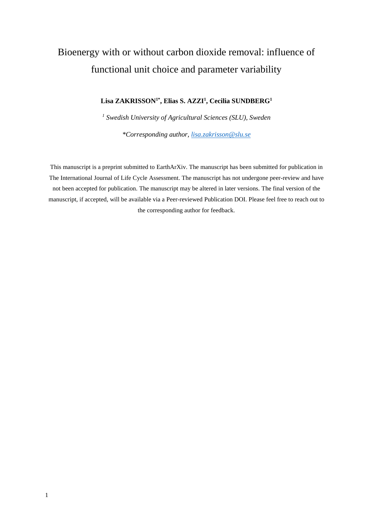# Bioenergy with or without carbon dioxide removal: influence of functional unit choice and parameter variability

#### **Lisa ZAKRISSON1\*, Elias S. AZZI<sup>1</sup> , Cecilia SUNDBERG<sup>1</sup>**

*1 Swedish University of Agricultural Sciences (SLU), Sweden \*Corresponding author, [lisa.zakrisson@slu.se](mailto:lisa.zakrisson@slu.se)*

This manuscript is a preprint submitted to EarthArXiv. The manuscript has been submitted for publication in The International Journal of Life Cycle Assessment. The manuscript has not undergone peer-review and have not been accepted for publication. The manuscript may be altered in later versions. The final version of the manuscript, if accepted, will be available via a Peer-reviewed Publication DOI. Please feel free to reach out to the corresponding author for feedback.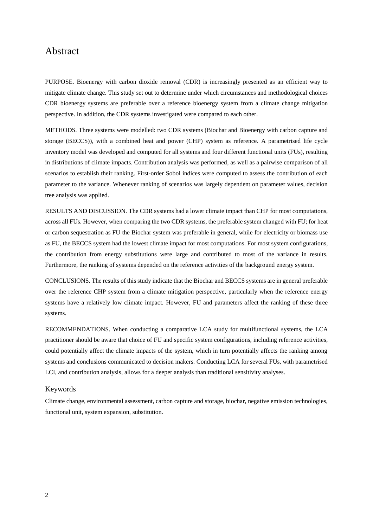### Abstract

PURPOSE. Bioenergy with carbon dioxide removal (CDR) is increasingly presented as an efficient way to mitigate climate change. This study set out to determine under which circumstances and methodological choices CDR bioenergy systems are preferable over a reference bioenergy system from a climate change mitigation perspective. In addition, the CDR systems investigated were compared to each other.

METHODS. Three systems were modelled: two CDR systems (Biochar and Bioenergy with carbon capture and storage (BECCS)), with a combined heat and power (CHP) system as reference. A parametrised life cycle inventory model was developed and computed for all systems and four different functional units (FUs), resulting in distributions of climate impacts. Contribution analysis was performed, as well as a pairwise comparison of all scenarios to establish their ranking. First-order Sobol indices were computed to assess the contribution of each parameter to the variance. Whenever ranking of scenarios was largely dependent on parameter values, decision tree analysis was applied.

RESULTS AND DISCUSSION. The CDR systems had a lower climate impact than CHP for most computations, across all FUs. However, when comparing the two CDR systems, the preferable system changed with FU; for heat or carbon sequestration as FU the Biochar system was preferable in general, while for electricity or biomass use as FU, the BECCS system had the lowest climate impact for most computations. For most system configurations, the contribution from energy substitutions were large and contributed to most of the variance in results. Furthermore, the ranking of systems depended on the reference activities of the background energy system.

CONCLUSIONS. The results of this study indicate that the Biochar and BECCS systems are in general preferable over the reference CHP system from a climate mitigation perspective, particularly when the reference energy systems have a relatively low climate impact. However, FU and parameters affect the ranking of these three systems.

RECOMMENDATIONS. When conducting a comparative LCA study for multifunctional systems, the LCA practitioner should be aware that choice of FU and specific system configurations, including reference activities, could potentially affect the climate impacts of the system, which in turn potentially affects the ranking among systems and conclusions communicated to decision makers. Conducting LCA for several FUs, with parametrised LCI, and contribution analysis, allows for a deeper analysis than traditional sensitivity analyses.

#### Keywords

Climate change, environmental assessment, carbon capture and storage, biochar, negative emission technologies, functional unit, system expansion, substitution.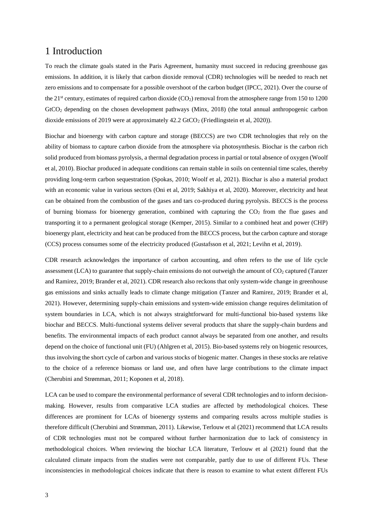### 1 Introduction

To reach the climate goals stated in the Paris Agreement, humanity must succeed in reducing greenhouse gas emissions. In addition, it is likely that carbon dioxide removal (CDR) technologies will be needed to reach net zero emissions and to compensate for a possible overshoot of the carbon budget (IPCC, 2021). Over the course of the  $21<sup>st</sup>$  century, estimates of required carbon dioxide (CO<sub>2</sub>) removal from the atmosphere range from 150 to 1200 GtCO<sup>2</sup> depending on the chosen development pathways (Minx, 2018) (the total annual anthropogenic carbon dioxide emissions of 2019 were at approximately  $42.2$  GtCO<sub>2</sub> (Friedlingstein et al, 2020)).

Biochar and bioenergy with carbon capture and storage (BECCS) are two CDR technologies that rely on the ability of biomass to capture carbon dioxide from the atmosphere via photosynthesis. Biochar is the carbon rich solid produced from biomass pyrolysis, a thermal degradation process in partial or total absence of oxygen (Woolf et al, 2010). Biochar produced in adequate conditions can remain stable in soils on centennial time scales, thereby providing long-term carbon sequestration (Spokas, 2010; Woolf et al, 2021). Biochar is also a material product with an economic value in various sectors (Oni et al, 2019; Sakhiya et al, 2020). Moreover, electricity and heat can be obtained from the combustion of the gases and tars co-produced during pyrolysis. BECCS is the process of burning biomass for bioenergy generation, combined with capturing the  $CO<sub>2</sub>$  from the flue gases and transporting it to a permanent geological storage (Kemper, 2015). Similar to a combined heat and power (CHP) bioenergy plant, electricity and heat can be produced from the BECCS process, but the carbon capture and storage (CCS) process consumes some of the electricity produced (Gustafsson et al, 2021; Levihn et al, 2019).

CDR research acknowledges the importance of carbon accounting, and often refers to the use of life cycle assessment (LCA) to guarantee that supply-chain emissions do not outweigh the amount of CO<sub>2</sub> captured (Tanzer and Ramirez, 2019; Brander et al, 2021). CDR research also reckons that only system-wide change in greenhouse gas emissions and sinks actually leads to climate change mitigation (Tanzer and Ramirez, 2019; Brander et al, 2021). However, determining supply-chain emissions and system-wide emission change requires delimitation of system boundaries in LCA, which is not always straightforward for multi-functional bio-based systems like biochar and BECCS. Multi-functional systems deliver several products that share the supply-chain burdens and benefits. The environmental impacts of each product cannot always be separated from one another, and results depend on the choice of functional unit (FU) (Ahlgren et al, 2015). Bio-based systems rely on biogenic resources, thus involving the short cycle of carbon and various stocks of biogenic matter. Changes in these stocks are relative to the choice of a reference biomass or land use, and often have large contributions to the climate impact (Cherubini and Strømman, 2011; Koponen et al, 2018).

LCA can be used to compare the environmental performance of several CDR technologies and to inform decisionmaking. However, results from comparative LCA studies are affected by methodological choices. These differences are prominent for LCAs of bioenergy systems and comparing results across multiple studies is therefore difficult (Cherubini and Strømman, 2011). Likewise, Terlouw et al (2021) recommend that LCA results of CDR technologies must not be compared without further harmonization due to lack of consistency in methodological choices. When reviewing the biochar LCA literature, Terlouw et al (2021) found that the calculated climate impacts from the studies were not comparable, partly due to use of different FUs. These inconsistencies in methodological choices indicate that there is reason to examine to what extent different FUs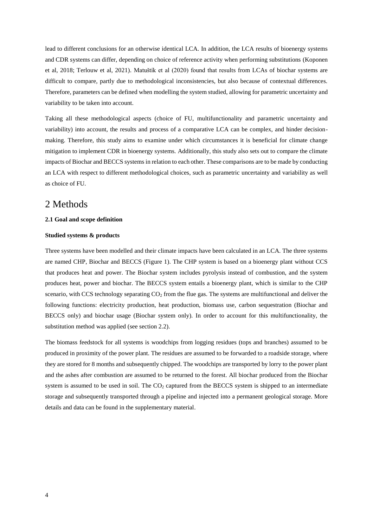lead to different conclusions for an otherwise identical LCA. In addition, the LCA results of bioenergy systems and CDR systems can differ, depending on choice of reference activity when performing substitutions (Koponen et al, 2018; Terlouw et al, 2021). Matuštík et al (2020) found that results from LCAs of biochar systems are difficult to compare, partly due to methodological inconsistencies, but also because of contextual differences. Therefore, parameters can be defined when modelling the system studied, allowing for parametric uncertainty and variability to be taken into account.

Taking all these methodological aspects (choice of FU, multifunctionality and parametric uncertainty and variability) into account, the results and process of a comparative LCA can be complex, and hinder decisionmaking. Therefore, this study aims to examine under which circumstances it is beneficial for climate change mitigation to implement CDR in bioenergy systems. Additionally, this study also sets out to compare the climate impacts of Biochar and BECCS systems in relation to each other. These comparisons are to be made by conducting an LCA with respect to different methodological choices, such as parametric uncertainty and variability as well as choice of FU.

### 2 Methods

#### **2.1 Goal and scope definition**

#### **Studied systems & products**

Three systems have been modelled and their climate impacts have been calculated in an LCA. The three systems are named CHP, Biochar and BECCS (Figure 1). The CHP system is based on a bioenergy plant without CCS that produces heat and power. The Biochar system includes pyrolysis instead of combustion, and the system produces heat, power and biochar. The BECCS system entails a bioenergy plant, which is similar to the CHP scenario, with CCS technology separating  $CO<sub>2</sub>$  from the flue gas. The systems are multifunctional and deliver the following functions: electricity production, heat production, biomass use, carbon sequestration (Biochar and BECCS only) and biochar usage (Biochar system only). In order to account for this multifunctionality, the substitution method was applied (see section 2.2).

The biomass feedstock for all systems is woodchips from logging residues (tops and branches) assumed to be produced in proximity of the power plant. The residues are assumed to be forwarded to a roadside storage, where they are stored for 8 months and subsequently chipped. The woodchips are transported by lorry to the power plant and the ashes after combustion are assumed to be returned to the forest. All biochar produced from the Biochar system is assumed to be used in soil. The  $CO<sub>2</sub>$  captured from the BECCS system is shipped to an intermediate storage and subsequently transported through a pipeline and injected into a permanent geological storage. More details and data can be found in the supplementary material.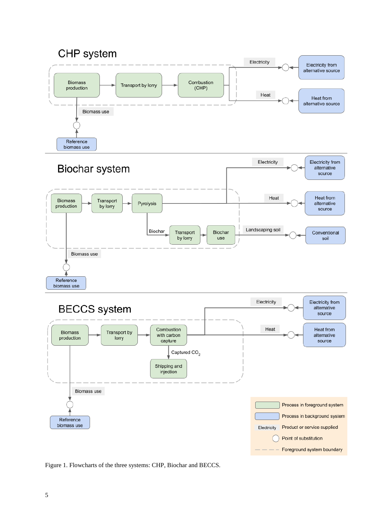





Figure 1. Flowcharts of the three systems: CHP, Biochar and BECCS.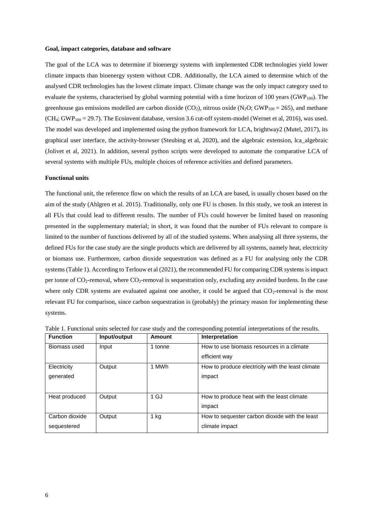#### **Goal, impact categories, database and software**

The goal of the LCA was to determine if bioenergy systems with implemented CDR technologies yield lower climate impacts than bioenergy system without CDR. Additionally, the LCA aimed to determine which of the analysed CDR technologies has the lowest climate impact. Climate change was the only impact category used to evaluate the systems, characterised by global warming potential with a time horizon of  $100$  years (GWP<sub>100</sub>). The greenhouse gas emissions modelled are carbon dioxide (CO<sub>2</sub>), nitrous oxide (N<sub>2</sub>O; GWP<sub>100</sub> = 265), and methane (CH4; GWP<sup>100</sup> = 29.7). The Ecoinvent database, version 3.6 cut-off system-model (Wernet et al, 2016), was used. The model was developed and implemented using the python framework for LCA, brightway2 (Mutel, 2017), its graphical user interface, the activity-browser (Steubing et al, 2020), and the algebraic extension, lca\_algebraic (Jolivet et al, 2021). In addition, several python scripts were developed to automate the comparative LCA of several systems with multiple FUs, multiple choices of reference activities and defined parameters.

#### **Functional units**

The functional unit, the reference flow on which the results of an LCA are based, is usually chosen based on the aim of the study (Ahlgren et al. 2015). Traditionally, only one FU is chosen. In this study, we took an interest in all FUs that could lead to different results. The number of FUs could however be limited based on reasoning presented in the supplementary material; in short, it was found that the number of FUs relevant to compare is limited to the number of functions delivered by all of the studied systems. When analysing all three systems, the defined FUs for the case study are the single products which are delivered by all systems, namely heat, electricity or biomass use. Furthermore, carbon dioxide sequestration was defined as a FU for analysing only the CDR systems(Table 1). According to Terlouw et al (2021), the recommended FU for comparing CDR systems is impact per tonne of  $CO_2$ -removal, where  $CO_2$ -removal is sequestration only, excluding any avoided burdens. In the case where only CDR systems are evaluated against one another, it could be argued that  $CO<sub>2</sub>$ -removal is the most relevant FU for comparison, since carbon sequestration is (probably) the primary reason for implementing these systems.

| <b>Function</b> | Input/output | Amount  | Interpretation                                    |
|-----------------|--------------|---------|---------------------------------------------------|
| Biomass used    | Input        | 1 tonne | How to use biomass resources in a climate         |
|                 |              |         | efficient way                                     |
| Electricity     | Output       | 1 MWh   | How to produce electricity with the least climate |
| generated       |              |         | impact                                            |
|                 |              |         |                                                   |
| Heat produced   | Output       | 1 GJ    | How to produce heat with the least climate        |
|                 |              |         | impact                                            |
| Carbon dioxide  | Output       | $1$ kg  | How to sequester carbon dioxide with the least    |
| sequestered     |              |         | climate impact                                    |
|                 |              |         |                                                   |

Table 1. Functional units selected for case study and the corresponding potential interpretations of the results.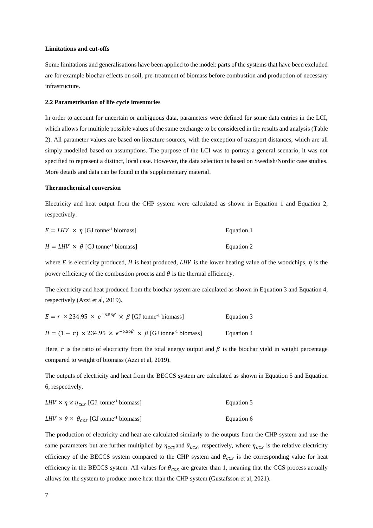#### **Limitations and cut-offs**

Some limitations and generalisations have been applied to the model: parts of the systems that have been excluded are for example biochar effects on soil, pre-treatment of biomass before combustion and production of necessary infrastructure.

#### **2.2 Parametrisation of life cycle inventories**

In order to account for uncertain or ambiguous data, parameters were defined for some data entries in the LCI, which allows for multiple possible values of the same exchange to be considered in the results and analysis (Table 2). All parameter values are based on literature sources, with the exception of transport distances, which are all simply modelled based on assumptions. The purpose of the LCI was to portray a general scenario, it was not specified to represent a distinct, local case. However, the data selection is based on Swedish/Nordic case studies. More details and data can be found in the supplementary material.

#### **Thermochemical conversion**

Electricity and heat output from the CHP system were calculated as shown in Equation 1 and Equation 2, respectively:

| $E = LHV \times \eta$ [GJ tonne <sup>-1</sup> biomass]   | Equation 1 |
|----------------------------------------------------------|------------|
| $H = LHV \times \theta$ [GJ tonne <sup>-1</sup> biomass] | Equation 2 |

where E is electricity produced, H is heat produced, LHV is the lower heating value of the woodchips,  $\eta$  is the power efficiency of the combustion process and  $\theta$  is the thermal efficiency.

The electricity and heat produced from the biochar system are calculated as shown in Equation 3 and Equation 4, respectively (Azzi et al, 2019).

| $E = r \times 234.95 \times e^{-6.56\beta} \times \beta$ [GJ tonne <sup>-1</sup> biomass]       | Equation 3 |
|-------------------------------------------------------------------------------------------------|------------|
| $H = (1 - r) \times 234.95 \times e^{-6.56\beta} \times \beta$ [GJ tonne <sup>-1</sup> biomass] | Equation 4 |

Here, r is the ratio of electricity from the total energy output and  $\beta$  is the biochar yield in weight percentage compared to weight of biomass (Azzi et al, 2019).

The outputs of electricity and heat from the BECCS system are calculated as shown in Equation 5 and Equation 6, respectively.

| $LHV \times \eta \times \eta_{\text{CCS}}$ [GJ tonne <sup>-1</sup> biomass] | Equation 5 |
|-----------------------------------------------------------------------------|------------|
|                                                                             |            |

 $LHV \times \theta \times \theta_{CCS}$  [GJ tonne<sup>-1</sup> biomass] Equation 6

The production of electricity and heat are calculated similarly to the outputs from the CHP system and use the same parameters but are further multiplied by  $\eta_{cc,s}$  and  $\theta_{cc,s}$ , respectively, where  $\eta_{cc,s}$  is the relative electricity efficiency of the BECCS system compared to the CHP system and  $\theta_{CCS}$  is the corresponding value for heat efficiency in the BECCS system. All values for  $\theta_{CCS}$  are greater than 1, meaning that the CCS process actually allows for the system to produce more heat than the CHP system (Gustafsson et al, 2021).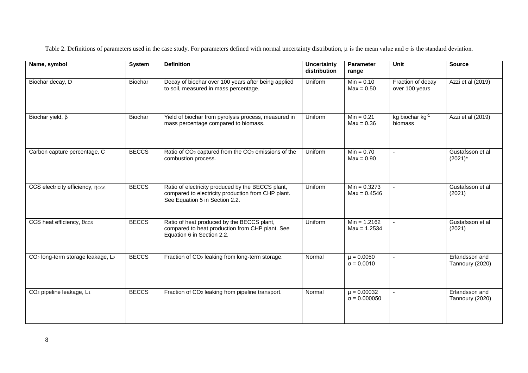| Name, symbol                                              | <b>System</b> | <b>Definition</b>                                                                                                                         | <b>Uncertainty</b><br>distribution | <b>Parameter</b><br>range              | Unit                                | <b>Source</b>                     |
|-----------------------------------------------------------|---------------|-------------------------------------------------------------------------------------------------------------------------------------------|------------------------------------|----------------------------------------|-------------------------------------|-----------------------------------|
| Biochar decay, D                                          | Biochar       | Decay of biochar over 100 years after being applied<br>to soil, measured in mass percentage.                                              | Uniform                            | $Min = 0.10$<br>$Max = 0.50$           | Fraction of decay<br>over 100 years | Azzi et al (2019)                 |
| Biochar yield, $\beta$                                    | Biochar       | Yield of biochar from pyrolysis process, measured in<br>mass percentage compared to biomass.                                              | Uniform                            | $Min = 0.21$<br>$Max = 0.36$           | kg biochar kg-1<br>biomass          | Azzi et al (2019)                 |
| Carbon capture percentage, C                              | <b>BECCS</b>  | Ratio of CO <sub>2</sub> captured from the CO <sub>2</sub> emissions of the<br>combustion process.                                        | Uniform                            | $Min = 0.70$<br>$Max = 0.90$           | $\overline{\phantom{a}}$            | Gustafsson et al<br>$(2021)^*$    |
| CCS electricity efficiency, nccs                          | <b>BECCS</b>  | Ratio of electricity produced by the BECCS plant,<br>compared to electricity production from CHP plant.<br>See Equation 5 in Section 2.2. | Uniform                            | $Min = 0.3273$<br>$Max = 0.4546$       | $\sim$                              | Gustafsson et al<br>(2021)        |
| CCS heat efficiency, $\theta$ ccs                         | <b>BECCS</b>  | Ratio of heat produced by the BECCS plant,<br>compared to heat production from CHP plant. See<br>Equation 6 in Section 2.2.               | Uniform                            | $Min = 1.2162$<br>$Max = 1.2534$       | $\blacksquare$                      | Gustafsson et al<br>(2021)        |
| CO <sub>2</sub> long-term storage leakage, L <sub>2</sub> | <b>BECCS</b>  | Fraction of CO <sub>2</sub> leaking from long-term storage.                                                                               | Normal                             | $\mu = 0.0050$<br>$\sigma = 0.0010$    | $\blacksquare$                      | Erlandsson and<br>Tannoury (2020) |
| CO <sub>2</sub> pipeline leakage, L <sub>1</sub>          | <b>BECCS</b>  | Fraction of CO <sub>2</sub> leaking from pipeline transport.                                                                              | Normal                             | $\mu = 0.00032$<br>$\sigma = 0.000050$ | $\sim$                              | Erlandsson and<br>Tannoury (2020) |

Table 2. Definitions of parameters used in the case study. For parameters defined with normal uncertainty distribution, μ is the mean value and σ is the standard deviation.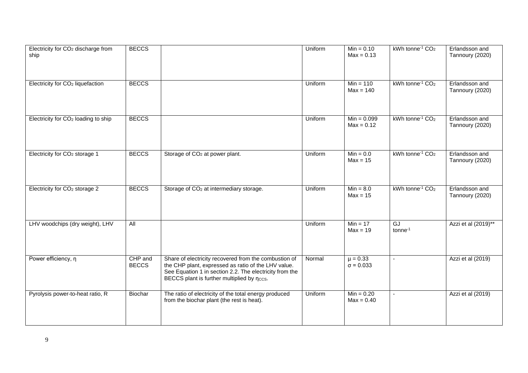| Electricity for CO <sub>2</sub> discharge from<br>ship | <b>BECCS</b>            |                                                                                                                                                                                                                       | Uniform | $Min = 0.10$<br>$Max = 0.13$     | kWh tonne <sup>-1</sup> CO <sub>2</sub> | Erlandsson and<br>Tannoury (2020) |
|--------------------------------------------------------|-------------------------|-----------------------------------------------------------------------------------------------------------------------------------------------------------------------------------------------------------------------|---------|----------------------------------|-----------------------------------------|-----------------------------------|
| Electricity for CO <sub>2</sub> liquefaction           | <b>BECCS</b>            |                                                                                                                                                                                                                       | Uniform | $Min = 110$<br>$Max = 140$       | kWh tonne <sup>-1</sup> CO <sub>2</sub> | Erlandsson and<br>Tannoury (2020) |
| Electricity for CO <sub>2</sub> loading to ship        | <b>BECCS</b>            |                                                                                                                                                                                                                       | Uniform | $Min = 0.099$<br>$Max = 0.12$    | kWh tonne <sup>-1</sup> CO <sub>2</sub> | Erlandsson and<br>Tannoury (2020) |
| Electricity for CO <sub>2</sub> storage 1              | <b>BECCS</b>            | Storage of CO <sub>2</sub> at power plant.                                                                                                                                                                            | Uniform | $Min = 0.0$<br>$Max = 15$        | kWh tonne <sup>-1</sup> CO <sub>2</sub> | Erlandsson and<br>Tannoury (2020) |
| Electricity for CO <sub>2</sub> storage 2              | <b>BECCS</b>            | Storage of CO <sub>2</sub> at intermediary storage.                                                                                                                                                                   | Uniform | $Min = 8.0$<br>$Max = 15$        | kWh tonne <sup>-1</sup> CO <sub>2</sub> | Erlandsson and<br>Tannoury (2020) |
| LHV woodchips (dry weight), LHV                        | $\overline{All}$        |                                                                                                                                                                                                                       | Uniform | $Min = 17$<br>$Max = 19$         | GJ<br>tonne <sup>-1</sup>               | Azzi et al (2019)**               |
| Power efficiency, n                                    | CHP and<br><b>BECCS</b> | Share of electricity recovered from the combustion of<br>the CHP plant, expressed as ratio of the LHV value.<br>See Equation 1 in section 2.2. The electricity from the<br>BECCS plant is further multiplied by nccs. | Normal  | $\mu = 0.33$<br>$\sigma = 0.033$ | $\blacksquare$                          | Azzi et al (2019)                 |
| Pyrolysis power-to-heat ratio, R                       | Biochar                 | The ratio of electricity of the total energy produced<br>from the biochar plant (the rest is heat).                                                                                                                   | Uniform | $Min = 0.20$<br>$Max = 0.40$     | $\blacksquare$                          | Azzi et al (2019)                 |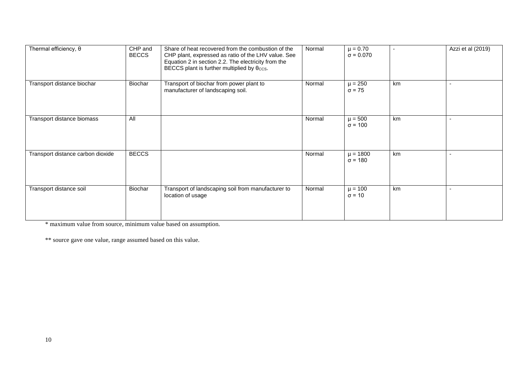| Thermal efficiency, $\theta$      | CHP and<br><b>BECCS</b> | Share of heat recovered from the combustion of the<br>CHP plant, expressed as ratio of the LHV value. See<br>Equation 2 in section 2.2. The electricity from the<br>BECCS plant is further multiplied by $\theta$ ccs. | Normal | $\mu = 0.70$<br>$\sigma = 0.070$ |    | Azzi et al (2019) |
|-----------------------------------|-------------------------|------------------------------------------------------------------------------------------------------------------------------------------------------------------------------------------------------------------------|--------|----------------------------------|----|-------------------|
| Transport distance biochar        | Biochar                 | Transport of biochar from power plant to<br>manufacturer of landscaping soil.                                                                                                                                          | Normal | $\mu = 250$<br>$\sigma$ = 75     | km |                   |
| Transport distance biomass        | All                     |                                                                                                                                                                                                                        | Normal | $\mu = 500$<br>$\sigma = 100$    | km |                   |
| Transport distance carbon dioxide | <b>BECCS</b>            |                                                                                                                                                                                                                        | Normal | $\mu = 1800$<br>$\sigma = 180$   | km | $\overline{a}$    |
| Transport distance soil           | Biochar                 | Transport of landscaping soil from manufacturer to<br>location of usage                                                                                                                                                | Normal | $\mu = 100$<br>$\sigma$ = 10     | km |                   |

\* maximum value from source, minimum value based on assumption.

\*\* source gave one value, range assumed based on this value.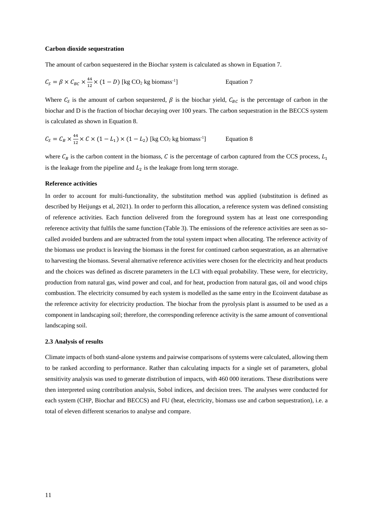#### **Carbon dioxide sequestration**

The amount of carbon sequestered in the Biochar system is calculated as shown in Equation 7.

$$
C_S = \beta \times C_{BC} \times \frac{44}{12} \times (1 - D) \text{ [kg CO}_2 \text{ kg biomass}^{-1} \text{]}
$$
 Equation 7

Where  $C_s$  is the amount of carbon sequestered,  $\beta$  is the biochar yield,  $C_{BC}$  is the percentage of carbon in the biochar and D is the fraction of biochar decaying over 100 years. The carbon sequestration in the BECCS system is calculated as shown in Equation 8.

$$
C_S = C_B \times \frac{44}{12} \times C \times (1 - L_1) \times (1 - L_2)
$$
 [kg CO<sub>2</sub> kg biomass<sup>-1</sup>] Equation 8

where  $C_B$  is the carbon content in the biomass, C is the percentage of carbon captured from the CCS process,  $L_1$ is the leakage from the pipeline and  $L_2$  is the leakage from long term storage.

#### **Reference activities**

In order to account for multi-functionality, the substitution method was applied (substitution is defined as described by Heijungs et al, 2021). In order to perform this allocation, a reference system was defined consisting of reference activities. Each function delivered from the foreground system has at least one corresponding reference activity that fulfils the same function (Table 3). The emissions of the reference activities are seen as socalled avoided burdens and are subtracted from the total system impact when allocating. The reference activity of the biomass use product is leaving the biomass in the forest for continued carbon sequestration, as an alternative to harvesting the biomass. Several alternative reference activities were chosen for the electricity and heat products and the choices was defined as discrete parameters in the LCI with equal probability. These were, for electricity, production from natural gas, wind power and coal, and for heat, production from natural gas, oil and wood chips combustion. The electricity consumed by each system is modelled as the same entry in the Ecoinvent database as the reference activity for electricity production. The biochar from the pyrolysis plant is assumed to be used as a component in landscaping soil; therefore, the corresponding reference activity is the same amount of conventional landscaping soil.

#### **2.3 Analysis of results**

Climate impacts of both stand-alone systems and pairwise comparisons of systems were calculated, allowing them to be ranked according to performance. Rather than calculating impacts for a single set of parameters, global sensitivity analysis was used to generate distribution of impacts, with 460 000 iterations. These distributions were then interpreted using contribution analysis, Sobol indices, and decision trees. The analyses were conducted for each system (CHP, Biochar and BECCS) and FU (heat, electricity, biomass use and carbon sequestration), i.e. a total of eleven different scenarios to analyse and compare.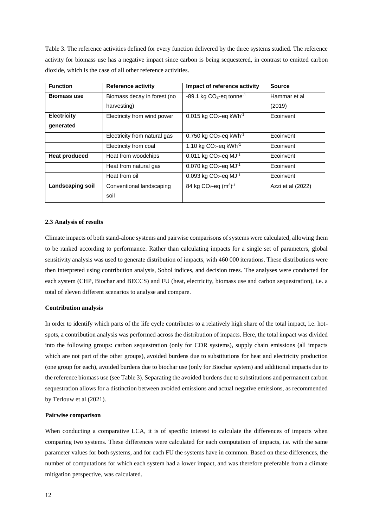Table 3. The reference activities defined for every function delivered by the three systems studied. The reference activity for biomass use has a negative impact since carbon is being sequestered, in contrast to emitted carbon dioxide, which is the case of all other reference activities.

| <b>Function</b>         | <b>Reference activity</b>    | Impact of reference activity                       | <b>Source</b>     |
|-------------------------|------------------------------|----------------------------------------------------|-------------------|
| <b>Biomass use</b>      | Biomass decay in forest (no  | $-89.1$ kg CO <sub>2</sub> -eq tonne <sup>-1</sup> | Hammar et al      |
|                         | harvesting)                  |                                                    | (2019)            |
| <b>Electricity</b>      | Electricity from wind power  | $0.015$ kg CO <sub>2</sub> -eq kWh <sup>-1</sup>   | Ecoinvent         |
| generated               |                              |                                                    |                   |
|                         | Electricity from natural gas | $0.750$ kg CO <sub>2</sub> -eq kWh <sup>-1</sup>   | Ecoinvent         |
|                         | Electricity from coal        | 1.10 kg $CO2$ -eq kWh <sup>-1</sup>                | Ecoinvent         |
| <b>Heat produced</b>    | Heat from woodchips          | $0.011$ kg CO <sub>2</sub> -eq MJ <sup>-1</sup>    | Ecoinvent         |
|                         | Heat from natural gas        | $0.070$ kg CO <sub>2</sub> -eq MJ <sup>-1</sup>    | Ecoinvent         |
|                         | Heat from oil                | $0.093$ kg CO <sub>2</sub> -eq MJ <sup>-1</sup>    | Ecoinvent         |
| <b>Landscaping soil</b> | Conventional landscaping     | 84 kg CO <sub>2</sub> -eq $(m^3)^{-1}$             | Azzi et al (2022) |
|                         | soil                         |                                                    |                   |

#### **2.3 Analysis of results**

Climate impacts of both stand-alone systems and pairwise comparisons of systems were calculated, allowing them to be ranked according to performance. Rather than calculating impacts for a single set of parameters, global sensitivity analysis was used to generate distribution of impacts, with 460 000 iterations. These distributions were then interpreted using contribution analysis, Sobol indices, and decision trees. The analyses were conducted for each system (CHP, Biochar and BECCS) and FU (heat, electricity, biomass use and carbon sequestration), i.e. a total of eleven different scenarios to analyse and compare.

#### **Contribution analysis**

In order to identify which parts of the life cycle contributes to a relatively high share of the total impact, i.e. hotspots, a contribution analysis was performed across the distribution of impacts. Here, the total impact was divided into the following groups: carbon sequestration (only for CDR systems), supply chain emissions (all impacts which are not part of the other groups), avoided burdens due to substitutions for heat and electricity production (one group for each), avoided burdens due to biochar use (only for Biochar system) and additional impacts due to the reference biomass use (see Table 3). Separating the avoided burdens due to substitutions and permanent carbon sequestration allows for a distinction between avoided emissions and actual negative emissions, as recommended by Terlouw et al (2021).

#### **Pairwise comparison**

When conducting a comparative LCA, it is of specific interest to calculate the differences of impacts when comparing two systems. These differences were calculated for each computation of impacts, i.e. with the same parameter values for both systems, and for each FU the systems have in common. Based on these differences, the number of computations for which each system had a lower impact, and was therefore preferable from a climate mitigation perspective, was calculated.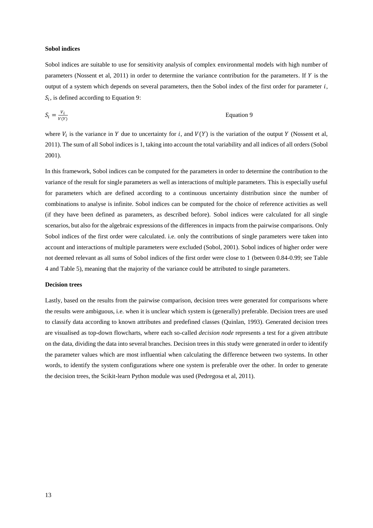#### **Sobol indices**

Sobol indices are suitable to use for sensitivity analysis of complex environmental models with high number of parameters (Nossent et al, 2011) in order to determine the variance contribution for the parameters. If  $Y$  is the output of a system which depends on several parameters, then the Sobol index of the first order for parameter  $i$ ,  $S_i$ , is defined according to Equation 9:

$$
S_i = \frac{V_i}{V(Y)}
$$
 Equation 9

where  $V_i$  is the variance in Y due to uncertainty for i, and  $V(Y)$  is the variation of the output Y (Nossent et al, 2011). The sum of all Sobol indices is 1, taking into account the total variability and all indices of all orders (Sobol 2001).

In this framework, Sobol indices can be computed for the parameters in order to determine the contribution to the variance of the result for single parameters as well as interactions of multiple parameters. This is especially useful for parameters which are defined according to a continuous uncertainty distribution since the number of combinations to analyse is infinite. Sobol indices can be computed for the choice of reference activities as well (if they have been defined as parameters, as described before). Sobol indices were calculated for all single scenarios, but also for the algebraic expressions of the differences in impacts from the pairwise comparisons. Only Sobol indices of the first order were calculated. i.e. only the contributions of single parameters were taken into account and interactions of multiple parameters were excluded (Sobol, 2001). Sobol indices of higher order were not deemed relevant as all sums of Sobol indices of the first order were close to 1 (between 0.84-0.99; see Table 4 and Table 5), meaning that the majority of the variance could be attributed to single parameters.

#### **Decision trees**

Lastly, based on the results from the pairwise comparison, decision trees were generated for comparisons where the results were ambiguous, i.e. when it is unclear which system is (generally) preferable. Decision trees are used to classify data according to known attributes and predefined classes (Quinlan, 1993). Generated decision trees are visualised as top-down flowcharts, where each so-called *decision node* represents a test for a given attribute on the data, dividing the data into several branches. Decision trees in this study were generated in order to identify the parameter values which are most influential when calculating the difference between two systems. In other words, to identify the system configurations where one system is preferable over the other. In order to generate the decision trees, the Scikit-learn Python module was used (Pedregosa et al, 2011).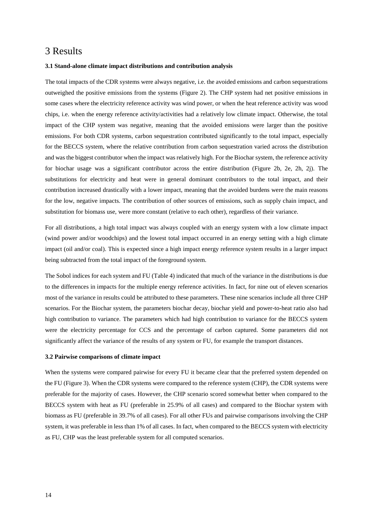### 3 Results

#### **3.1 Stand-alone climate impact distributions and contribution analysis**

The total impacts of the CDR systems were always negative, i.e. the avoided emissions and carbon sequestrations outweighed the positive emissions from the systems (Figure 2). The CHP system had net positive emissions in some cases where the electricity reference activity was wind power, or when the heat reference activity was wood chips, i.e. when the energy reference activity/activities had a relatively low climate impact. Otherwise, the total impact of the CHP system was negative, meaning that the avoided emissions were larger than the positive emissions. For both CDR systems, carbon sequestration contributed significantly to the total impact, especially for the BECCS system, where the relative contribution from carbon sequestration varied across the distribution and was the biggest contributor when the impact was relatively high. For the Biochar system, the reference activity for biochar usage was a significant contributor across the entire distribution (Figure 2b, 2e, 2h, 2j). The substitutions for electricity and heat were in general dominant contributors to the total impact, and their contribution increased drastically with a lower impact, meaning that the avoided burdens were the main reasons for the low, negative impacts. The contribution of other sources of emissions, such as supply chain impact, and substitution for biomass use, were more constant (relative to each other), regardless of their variance.

For all distributions, a high total impact was always coupled with an energy system with a low climate impact (wind power and/or woodchips) and the lowest total impact occurred in an energy setting with a high climate impact (oil and/or coal). This is expected since a high impact energy reference system results in a larger impact being subtracted from the total impact of the foreground system.

The Sobol indices for each system and FU (Table 4) indicated that much of the variance in the distributions is due to the differences in impacts for the multiple energy reference activities. In fact, for nine out of eleven scenarios most of the variance in results could be attributed to these parameters. These nine scenarios include all three CHP scenarios. For the Biochar system, the parameters biochar decay, biochar yield and power-to-heat ratio also had high contribution to variance. The parameters which had high contribution to variance for the BECCS system were the electricity percentage for CCS and the percentage of carbon captured. Some parameters did not significantly affect the variance of the results of any system or FU, for example the transport distances.

#### **3.2 Pairwise comparisons of climate impact**

When the systems were compared pairwise for every FU it became clear that the preferred system depended on the FU (Figure 3). When the CDR systems were compared to the reference system (CHP), the CDR systems were preferable for the majority of cases. However, the CHP scenario scored somewhat better when compared to the BECCS system with heat as FU (preferable in 25.9% of all cases) and compared to the Biochar system with biomass as FU (preferable in 39.7% of all cases). For all other FUs and pairwise comparisons involving the CHP system, it was preferable in less than 1% of all cases. In fact, when compared to the BECCS system with electricity as FU, CHP was the least preferable system for all computed scenarios.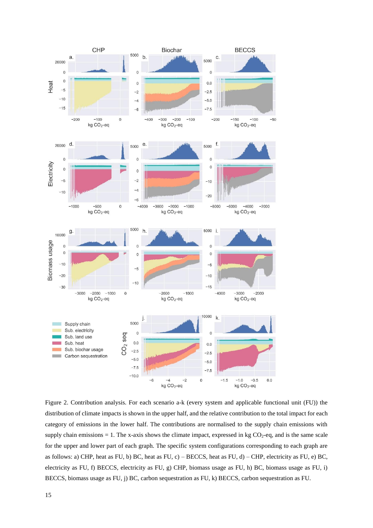

Figure 2. Contribution analysis. For each scenario a-k (every system and applicable functional unit (FU)) the distribution of climate impacts is shown in the upper half, and the relative contribution to the total impact for each category of emissions in the lower half. The contributions are normalised to the supply chain emissions with supply chain emissions  $= 1$ . The x-axis shows the climate impact, expressed in kg  $CO<sub>2</sub>$ -eq, and is the same scale for the upper and lower part of each graph. The specific system configurations corresponding to each graph are as follows: a) CHP, heat as FU, b) BC, heat as FU, c) – BECCS, heat as FU, d) – CHP, electricity as FU, e) BC, electricity as FU, f) BECCS, electricity as FU, g) CHP, biomass usage as FU, h) BC, biomass usage as FU, i) BECCS, biomass usage as FU, j) BC, carbon sequestration as FU, k) BECCS, carbon sequestration as FU.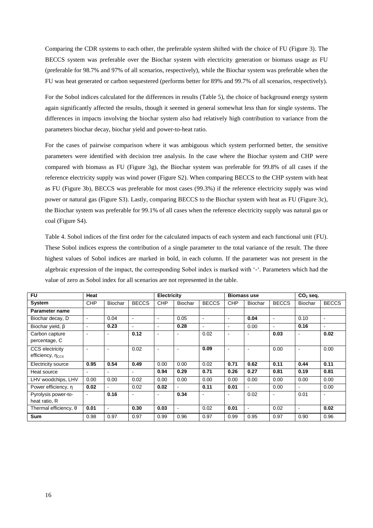Comparing the CDR systems to each other, the preferable system shifted with the choice of FU (Figure 3). The BECCS system was preferable over the Biochar system with electricity generation or biomass usage as FU (preferable for 98.7% and 97% of all scenarios, respectively), while the Biochar system was preferable when the FU was heat generated or carbon sequestered (performs better for 89% and 99.7% of all scenarios, respectively).

For the Sobol indices calculated for the differences in results (Table 5), the choice of background energy system again significantly affected the results, though it seemed in general somewhat less than for single systems. The differences in impacts involving the biochar system also had relatively high contribution to variance from the parameters biochar decay, biochar yield and power-to-heat ratio.

For the cases of pairwise comparison where it was ambiguous which system performed better, the sensitive parameters were identified with decision tree analysis. In the case where the Biochar system and CHP were compared with biomass as FU (Figure 3g), the Biochar system was preferable for 99.8% of all cases if the reference electricity supply was wind power (Figure S2). When comparing BECCS to the CHP system with heat as FU (Figure 3b), BECCS was preferable for most cases (99.3%) if the reference electricity supply was wind power or natural gas (Figure S3). Lastly, comparing BECCS to the Biochar system with heat as FU (Figure 3c), the Biochar system was preferable for 99.1% of all cases when the reference electricity supply was natural gas or coal (Figure S4).

Table 4. Sobol indices of the first order for the calculated impacts of each system and each functional unit (FU). These Sobol indices express the contribution of a single parameter to the total variance of the result. The three highest values of Sobol indices are marked in bold, in each column. If the parameter was not present in the algebraic expression of the impact, the corresponding Sobol index is marked with '-'. Parameters which had the value of zero as Sobol index for all scenarios are not represented in the table.

| <b>FU</b>                                  | Heat                     |                |                | Electricity              |                |                |                          | <b>Biomass use</b>       |              | $CO2$ seq.               |                |
|--------------------------------------------|--------------------------|----------------|----------------|--------------------------|----------------|----------------|--------------------------|--------------------------|--------------|--------------------------|----------------|
| <b>System</b>                              | <b>CHP</b>               | Biochar        | <b>BECCS</b>   | <b>CHP</b>               | <b>Biochar</b> | <b>BECCS</b>   | <b>CHP</b>               | Biochar                  | <b>BECCS</b> | <b>Biochar</b>           | <b>BECCS</b>   |
| Parameter name                             |                          |                |                |                          |                |                |                          |                          |              |                          |                |
| Biochar decay, D                           | $\blacksquare$           | 0.04           | $\blacksquare$ | $\blacksquare$           | 0.05           | $\blacksquare$ | $\sim$                   | 0.04                     | ۰            | 0.10                     | $\blacksquare$ |
| Biochar yield, β                           | $\blacksquare$           | 0.23           |                | $\blacksquare$           | 0.28           | $\blacksquare$ | $\overline{\phantom{a}}$ | 0.00                     | ۰.           | 0.16                     |                |
| Carbon capture<br>percentage, C            | ÷                        |                | 0.12           | $\blacksquare$           | $\sim$         | 0.02           | $\sim$                   | $\overline{\phantom{a}}$ | 0.03         | $\sim$                   | 0.02           |
| <b>CCS</b> electricity<br>efficiency, nccs | ٠                        |                | 0.02           | $\overline{\phantom{a}}$ | $\sim$         | 0.09           | $\overline{\phantom{a}}$ | $\blacksquare$           | 0.00         | $\overline{\phantom{a}}$ | 0.00           |
| Electricity source                         | 0.95                     | 0.54           | 0.49           | 0.00                     | 0.00           | 0.02           | 0.71                     | 0.62                     | 0.11         | 0.44                     | 0.11           |
| Heat source                                | $\overline{\phantom{a}}$ | $\blacksquare$ |                | 0.94                     | 0.29           | 0.71           | 0.26                     | 0.27                     | 0.81         | 0.19                     | 0.81           |
| LHV woodchips, LHV                         | 0.00                     | 0.00           | 0.02           | 0.00                     | 0.00           | 0.00           | 0.00                     | 0.00                     | 0.00         | 0.00                     | 0.00           |
| Power efficiency, n                        | 0.02                     |                | 0.02           | 0.02                     | $\blacksquare$ | 0.11           | 0.01                     | $\blacksquare$           | 0.00         | $\sim$                   | 0.00           |
| Pyrolysis power-to-<br>heat ratio, R       | $\sim$                   | 0.16           |                |                          | 0.34           | $\blacksquare$ | $\overline{\phantom{a}}$ | 0.02                     |              | 0.01                     |                |
| Thermal efficiency, $\theta$               | 0.01                     | $\blacksquare$ | 0.30           | 0.03                     | $\sim$         | 0.02           | 0.01                     | $\blacksquare$           | 0.02         | $\sim$                   | 0.02           |
| <b>Sum</b>                                 | 0.98                     | 0.97           | 0.97           | 0.99                     | 0.96           | 0.97           | 0.99                     | 0.95                     | 0.97         | 0.90                     | 0.96           |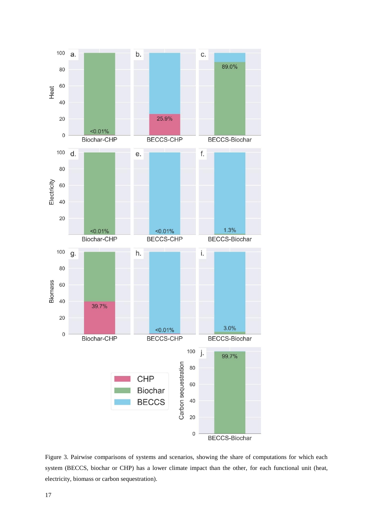

Figure 3. Pairwise comparisons of systems and scenarios, showing the share of computations for which each system (BECCS, biochar or CHP) has a lower climate impact than the other, for each functional unit (heat, electricity, biomass or carbon sequestration).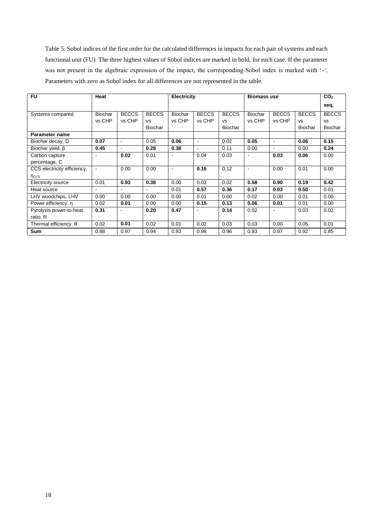Table 5. Sobol indices of the first order for the calculated differences in impacts for each pair of systems and each functional unit (FU). The three highest values of Sobol indices are marked in bold, for each case. If the parameter was not present in the algebraic expression of the impact, the corresponding Sobol index is marked with '-'. Parameters with zero as Sobol index for all differences are not represented in the table.

| <b>FU</b>                    | Heat           |                |                | Electricity    |                |                |                | <b>Biomass use</b> |                | CO <sub>2</sub> |
|------------------------------|----------------|----------------|----------------|----------------|----------------|----------------|----------------|--------------------|----------------|-----------------|
|                              |                |                |                |                |                |                |                |                    |                | seq.            |
| Systems compared             | Biochar        | <b>BECCS</b>   | <b>BECCS</b>   | <b>Biochar</b> | <b>BECCS</b>   | <b>BECCS</b>   | Biochar        | <b>BECCS</b>       | <b>BECCS</b>   | <b>BECCS</b>    |
|                              | vs CHP         | vs CHP         | <b>VS</b>      | vs CHP         | vs CHP         | <b>VS</b>      | vs CHP         | vs CHP             | <b>VS</b>      | <b>VS</b>       |
|                              |                |                | <b>Biochar</b> |                |                | <b>Biochar</b> |                |                    | <b>Biochar</b> | <b>Biochar</b>  |
| Parameter name               |                |                |                |                |                |                |                |                    |                |                 |
| Biochar decay, D             | 0.07           | $\blacksquare$ | 0.05           | 0.06           | $\blacksquare$ | 0.02           | 0.05           | $\blacksquare$     | 0.06           | 0.15            |
| Biochar yield, $\beta$       | 0.45           | $\blacksquare$ | 0.28           | 0.38           | $\blacksquare$ | 0.11           | 0.00           | ۰.                 | 0.00           | 0.24            |
| Carbon capture               | $\blacksquare$ | 0.02           | 0.01           |                | 0.04           | 0.03           |                | 0.03               | 0.06           | 0.00            |
| percentage, C                |                |                |                |                |                |                |                |                    |                |                 |
| CCS electricity efficiency,  | $\blacksquare$ | 0.00           | 0.00           | $\sim$         | 0.16           | 0.12           | $\blacksquare$ | 0.00               | 0.01           | 0.00            |
| $\eta_{\text{CCS}}$          |                |                |                |                |                |                |                |                    |                |                 |
| Electricity source           | 0.01           | 0.93           | 0.38           | 0.00           | 0.03           | 0.02           | 0.58           | 0.90               | 0.19           | 0.42            |
| Heat source                  | $\sim$         |                |                | 0.01           | 0.57           | 0.36           | 0.17           | 0.03               | 0.50           | 0.01            |
| LHV woodchips, LHV           | 0.00           | 0.00           | 0.00           | 0.00           | 0.01           | 0.00           | 0.02           | 0.00               | 0.01           | 0.00            |
| Power efficiency, n          | 0.02           | 0.01           | 0.00           | 0.00           | 0.15           | 0.13           | 0.06           | 0.01               | 0.01           | 0.00            |
| Pyrolysis power-to-heat      | 0.31           | $\blacksquare$ | 0.20           | 0.47           | $\blacksquare$ | 0.14           | 0.02           | $\sim$             | 0.03           | 0.02            |
| ratio, R                     |                |                |                |                |                |                |                |                    |                |                 |
| Thermal efficiency, $\theta$ | 0.02           | 0.01           | 0.02           | 0.01           | 0.02           | 0.03           | 0.03           | 0.00               | 0.05           | 0.01            |
| Sum                          | 0.88           | 0.97           | 0.94           | 0.93           | 0.98           | 0.96           | 0.93           | 0.97               | 0.92           | 0.85            |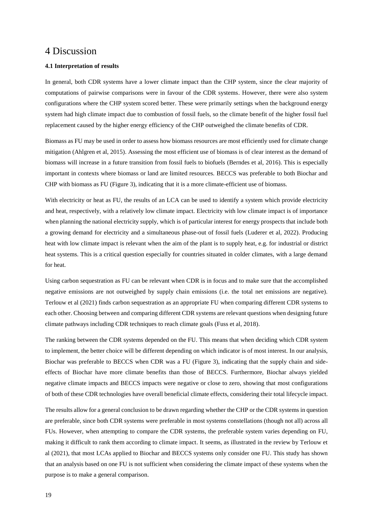### 4 Discussion

#### **4.1 Interpretation of results**

In general, both CDR systems have a lower climate impact than the CHP system, since the clear majority of computations of pairwise comparisons were in favour of the CDR systems. However, there were also system configurations where the CHP system scored better. These were primarily settings when the background energy system had high climate impact due to combustion of fossil fuels, so the climate benefit of the higher fossil fuel replacement caused by the higher energy efficiency of the CHP outweighed the climate benefits of CDR.

Biomass as FU may be used in order to assess how biomass resources are most efficiently used for climate change mitigation (Ahlgren et al, 2015). Assessing the most efficient use of biomass is of clear interest as the demand of biomass will increase in a future transition from fossil fuels to biofuels (Berndes et al, 2016). This is especially important in contexts where biomass or land are limited resources. BECCS was preferable to both Biochar and CHP with biomass as FU (Figure 3), indicating that it is a more climate-efficient use of biomass.

With electricity or heat as FU, the results of an LCA can be used to identify a system which provide electricity and heat, respectively, with a relatively low climate impact. Electricity with low climate impact is of importance when planning the national electricity supply, which is of particular interest for energy prospects that include both a growing demand for electricity and a simultaneous phase-out of fossil fuels (Luderer et al, 2022). Producing heat with low climate impact is relevant when the aim of the plant is to supply heat, e.g. for industrial or district heat systems. This is a critical question especially for countries situated in colder climates, with a large demand for heat.

Using carbon sequestration as FU can be relevant when CDR is in focus and to make sure that the accomplished negative emissions are not outweighed by supply chain emissions (i.e. the total net emissions are negative). Terlouw et al (2021) finds carbon sequestration as an appropriate FU when comparing different CDR systems to each other. Choosing between and comparing different CDR systems are relevant questions when designing future climate pathways including CDR techniques to reach climate goals (Fuss et al, 2018).

The ranking between the CDR systems depended on the FU. This means that when deciding which CDR system to implement, the better choice will be different depending on which indicator is of most interest. In our analysis, Biochar was preferable to BECCS when CDR was a FU (Figure 3), indicating that the supply chain and sideeffects of Biochar have more climate benefits than those of BECCS. Furthermore, Biochar always yielded negative climate impacts and BECCS impacts were negative or close to zero, showing that most configurations of both of these CDR technologies have overall beneficial climate effects, considering their total lifecycle impact.

The results allow for a general conclusion to be drawn regarding whether the CHP or the CDR systems in question are preferable, since both CDR systems were preferable in most systems constellations (though not all) across all FUs. However, when attempting to compare the CDR systems, the preferable system varies depending on FU, making it difficult to rank them according to climate impact. It seems, as illustrated in the review by Terlouw et al (2021), that most LCAs applied to Biochar and BECCS systems only consider one FU. This study has shown that an analysis based on one FU is not sufficient when considering the climate impact of these systems when the purpose is to make a general comparison.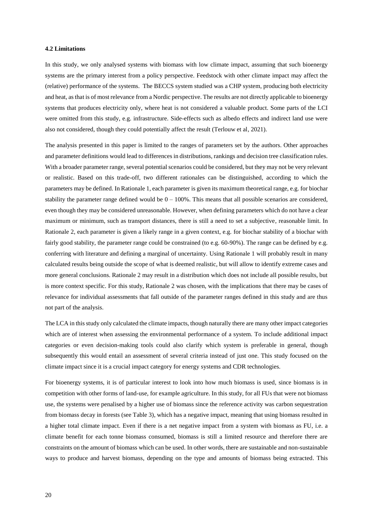#### **4.2 Limitations**

In this study, we only analysed systems with biomass with low climate impact, assuming that such bioenergy systems are the primary interest from a policy perspective. Feedstock with other climate impact may affect the (relative) performance of the systems. The BECCS system studied was a CHP system, producing both electricity and heat, as that is of most relevance from a Nordic perspective. The results are not directly applicable to bioenergy systems that produces electricity only, where heat is not considered a valuable product. Some parts of the LCI were omitted from this study, e.g. infrastructure. Side-effects such as albedo effects and indirect land use were also not considered, though they could potentially affect the result (Terlouw et al, 2021).

The analysis presented in this paper is limited to the ranges of parameters set by the authors. Other approaches and parameter definitions would lead to differences in distributions, rankings and decision tree classification rules. With a broader parameter range, several potential scenarios could be considered, but they may not be very relevant or realistic. Based on this trade-off, two different rationales can be distinguished, according to which the parameters may be defined. In Rationale 1, each parameter is given its maximum theoretical range, e.g. for biochar stability the parameter range defined would be  $0 - 100\%$ . This means that all possible scenarios are considered, even though they may be considered unreasonable. However, when defining parameters which do not have a clear maximum or minimum, such as transport distances, there is still a need to set a subjective, reasonable limit. In Rationale 2, each parameter is given a likely range in a given context, e.g. for biochar stability of a biochar with fairly good stability, the parameter range could be constrained (to e.g. 60-90%). The range can be defined by e.g. conferring with literature and defining a marginal of uncertainty. Using Rationale 1 will probably result in many calculated results being outside the scope of what is deemed realistic, but will allow to identify extreme cases and more general conclusions. Rationale 2 may result in a distribution which does not include all possible results, but is more context specific. For this study, Rationale 2 was chosen, with the implications that there may be cases of relevance for individual assessments that fall outside of the parameter ranges defined in this study and are thus not part of the analysis.

The LCA in this study only calculated the climate impacts, though naturally there are many other impact categories which are of interest when assessing the environmental performance of a system. To include additional impact categories or even decision-making tools could also clarify which system is preferable in general, though subsequently this would entail an assessment of several criteria instead of just one. This study focused on the climate impact since it is a crucial impact category for energy systems and CDR technologies.

For bioenergy systems, it is of particular interest to look into how much biomass is used, since biomass is in competition with other forms of land-use, for example agriculture. In this study, for all FUs that were not biomass use, the systems were penalised by a higher use of biomass since the reference activity was carbon sequestration from biomass decay in forests (see Table 3), which has a negative impact, meaning that using biomass resulted in a higher total climate impact. Even if there is a net negative impact from a system with biomass as FU, i.e. a climate benefit for each tonne biomass consumed, biomass is still a limited resource and therefore there are constraints on the amount of biomass which can be used. In other words, there are sustainable and non-sustainable ways to produce and harvest biomass, depending on the type and amounts of biomass being extracted. This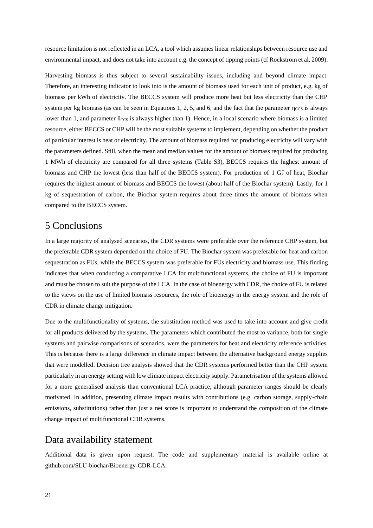resource limitation is not reflected in an LCA, a tool which assumes linear relationships between resource use and environmental impact, and does not take into account e.g. the concept of tipping points (cf Rockström et al, 2009).

Harvesting biomass is thus subject to several sustainability issues, including and beyond climate impact. Therefore, an interesting indicator to look into is the amount of biomass used for each unit of product, e.g. kg of biomass per kWh of electricity. The BECCS system will produce more heat but less electricity than the CHP system per kg biomass (as can be seen in Equations 1, 2, 5, and 6, and the fact that the parameter  $\eta_{\text{CCS}}$  is always lower than 1, and parameter  $\theta_{\text{CCS}}$  is always higher than 1). Hence, in a local scenario where biomass is a limited resource, either BECCS or CHP will be the most suitable systems to implement, depending on whether the product of particular interest is heat or electricity. The amount of biomass required for producing electricity will vary with the parameters defined. Still, when the mean and median values for the amount of biomass required for producing 1 MWh of electricity are compared for all three systems (Table S3), BECCS requires the highest amount of biomass and CHP the lowest (less than half of the BECCS system). For production of 1 GJ of heat, Biochar requires the highest amount of biomass and BECCS the lowest (about half of the Biochar system). Lastly, for 1 kg of sequestration of carbon, the Biochar system requires about three times the amount of biomass when compared to the BECCS system.

### 5 Conclusions

In a large majority of analysed scenarios, the CDR systems were preferable over the reference CHP system, but the preferable CDR system depended on the choice of FU. The Biochar system was preferable for heat and carbon sequestration as FUs, while the BECCS system was preferable for FUs electricity and biomass use. This finding indicates that when conducting a comparative LCA for multifunctional systems, the choice of FU is important and must be chosen to suit the purpose of the LCA. In the case of bioenergy with CDR, the choice of FU is related to the views on the use of limited biomass resources, the role of bioenergy in the energy system and the role of CDR in climate change mitigation.

Due to the multifunctionality of systems, the substitution method was used to take into account and give credit for all products delivered by the systems. The parameters which contributed the most to variance, both for single systems and pairwise comparisons of scenarios, were the parameters for heat and electricity reference activities. This is because there is a large difference in climate impact between the alternative background energy supplies that were modelled. Decision tree analysis showed that the CDR systems performed better than the CHP system particularly in an energy setting with low climate impact electricity supply. Parametrisation of the systems allowed for a more generalised analysis than conventional LCA practice, although parameter ranges should be clearly motivated. In addition, presenting climate impact results with contributions (e.g. carbon storage, supply-chain emissions, substitutions) rather than just a net score is important to understand the composition of the climate change impact of multifunctional CDR systems.

### Data availability statement

Additional data is given upon request. The code and supplementary material is available online at github.com/SLU-biochar/Bioenergy-CDR-LCA.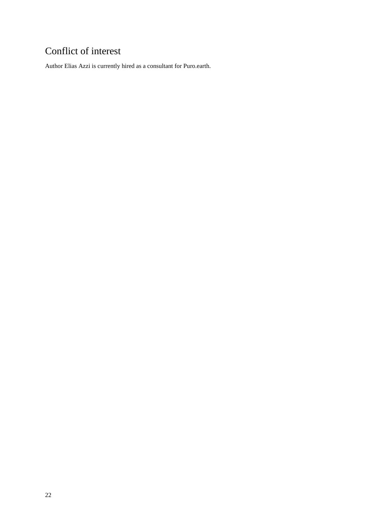## Conflict of interest

Author Elias Azzi is currently hired as a consultant for Puro.earth.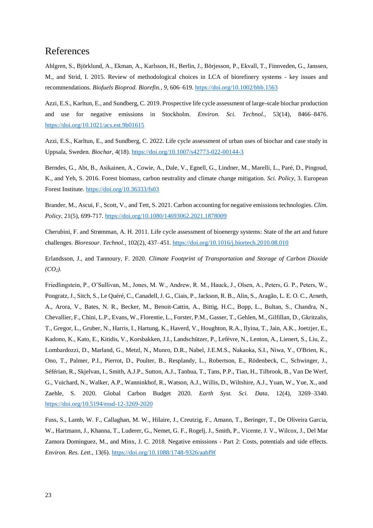## References

Ahlgren, S., Björklund, A., Ekman, A., Karlsson, H., Berlin, J., Börjesson, P., Ekvall, T., Finnveden, G., Janssen, M., and Strid, I. 2015. Review of methodological choices in LCA of biorefinery systems - key issues and recommendations. *Biofuels Bioprod. Biorefin.*, *9*, 606–619[. https://doi.org/10.1002/bbb.1563](https://doi.org/10.1002/bbb)

Azzi, E.S., Karltun, E., and Sundberg, C. 2019. Prospective life cycle assessment of large-scale biochar production and use for negative emissions in Stockholm. *Environ. Sci. Technol.*, 53(14), 8466–8476. <https://doi.org/10.1021/acs.est.9b01615>

Azzi, E.S., Karltun, E., and Sundberg, C. 2022. Life cycle assessment of urban uses of biochar and case study in Uppsala, Sweden. *Biochar,* 4(18).<https://doi.org/10.1007/s42773-022-00144-3>

Berndes, G., Abt, B., Asikainen, A., Cowie, A., Dale, V., Egnell, G., Lindner, M., Marelli, L., Paré, D., Pingoud, K., and Yeh, S. 2016. Forest biomass, carbon neutrality and climate change mitigation. *Sci. Policy*, 3. European Forest Institute.<https://doi.org/10.36333/fs03>

Brander, M., Ascui, F., Scott, V., and Tett, S. 2021. Carbon accounting for negative emissions technologies. *Clim. Policy*, 21(5), 699-717[. https://doi.org/10.1080/14693062.2021.1878009](https://doi.org/10.1080/14693062.2021.1878009) 

Cherubini, F. and Strømman, A. H. 2011. Life cycle assessment of bioenergy systems: State of the art and future challenges. *Bioresour. Technol.*, 102(2), 437–451[. https://doi.org/10.1016/j.biortech.2010.08.010](https://doi.org/10.1016/j.biortech.2010.08.010)

Erlandsson, J., and Tannoury, F. 2020. *Climate Footprint of Transportation and Storage of Carbon Dioxide*   $(CO_2)$ .

Friedlingstein, P., O'Sullivan, M., Jones, M. W., Andrew, R. M., Hauck, J., Olsen, A., Peters, G. P., Peters, W., Pongratz, J., Sitch, S., Le Quéré, C., Canadell, J. G., Ciais, P., Jackson, R. B., Alin, S., Aragão, L. E. O. C., Arneth, A., Arora, V., Bates, N. R., Becker, M., Benoit-Cattin, A., Bittig, H.C., Bopp, L., Bultan, S., Chandra, N., Chevallier, F., Chini, L.P., Evans, W., Florentie, L., Forster, P.M., Gasser, T., Gehlen, M., Gilfillan, D., Gkritzalis, T., Gregor, L., Gruber, N., Harris, I., Hartung, K., Haverd, V., Houghton, R.A., Ilyina, T., Jain, A.K., Joetzjer, E., Kadono, K., Kato, E., Kitidis, V., Korsbakken, J.I., Landschützer, P., Lefèvre, N., Lenton, A., Lienert, S., Liu, Z., Lombardozzi, D., Marland, G., Metzl, N., Munro, D.R., Nabel, J.E.M.S., Nakaoka, S.I., Niwa, Y., O'Brien, K., Ono, T., Palmer, P.I., Pierrot, D., Poulter, B., Resplandy, L., Robertson, E., Rödenbeck, C., Schwinger, J., Séférian, R., Skjelvan, I., Smith, A.J.P., Sutton, A.J., Tanhua, T., Tans, P.P., Tian, H., Tilbrook, B., Van De Werf, G., Vuichard, N., Walker, A.P., Wanninkhof, R., Watson, A.J., Willis, D., Wiltshire, A.J., Yuan, W., Yue, X., and Zaehle, S. 2020. Global Carbon Budget 2020. *Earth Syst. Sci. Data,* 12(4), 3269–3340. <https://doi.org/10.5194/essd-12-3269-2020>

Fuss, S., Lamb, W. F., Callaghan, M. W., Hilaire, J., Creutzig, F., Amann, T., Beringer, T., De Oliveira Garcia, W., Hartmann, J., Khanna, T., Luderer, G., Nemet, G. F., Rogelj, J., Smith, P., Vicente, J. V., Wilcox, J., Del Mar Zamora Dominguez, M., and Minx, J. C. 2018. Negative emissions - Part 2: Costs, potentials and side effects. *Environ. Res. Lett.*, 13(6).<https://doi.org/10.1088/1748-9326/aabf9f>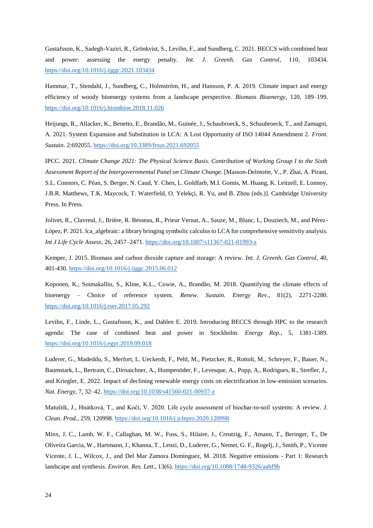Gustafsson, K., Sadegh-Vaziri, R., Grönkvist, S., Levihn, F., and Sundberg, C. 2021. BECCS with combined heat and power: assessing the energy penalty. *Int. J. Greenh. Gas Control*, 110, 103434. <https://doi.org/10.1016/j.ijggc.2021.103434>

Hammar, T., Stendahl, J., Sundberg, C., Holmström, H., and Hansson, P. A. 2019. Climate impact and energy efficiency of woody bioenergy systems from a landscape perspective. *Biomass Bioenergy*, 120, 189–199. <https://doi.org/10.1016/j.biombioe.2018.11.026>

Heijungs, R., Allacker, K., Benetto, E., Brandão, M., Guinée, J., Schaubroeck, S., Schaubroeck, T., and Zamagni, A. 2021. System Expansion and Substitution in LCA: A Lost Opportunity of ISO 14044 Amendment 2. *Front. Sustain*. 2:692055.<https://doi.org/10.3389/frsus.2021.692055>

IPCC. 2021. *Climate Change 2021: The Physical Science Basis. Contribution of Working Group I to the Sixth Assessment Report of the Intergovernmental Panel on Climate Change*. [Masson-Delmotte, V., P. Zhai, A. Pirani, S.L. Connors, C. Péan, S. Berger, N. Caud, Y. Chen, L. Goldfarb, M.I. Gomis, M. Huang, K. Leitzell, E. Lonnoy, J.B.R. Matthews, T.K. Maycock, T. Waterfield, O. Yelekçi, R. Yu, and B. Zhou (eds.)]. Cambridge University Press. In Press.

Jolivet, R., Clavreul, J., Brière, R. Besseau, R., Prieur Vernat, A., Sauze, M., Blanc, I., Douziech, M., and Pérez-López, P. 2021. lca\_algebraic: a library bringing symbolic calculus to LCA for comprehensive sensitivity analysis. *Int J Life Cycle Assess,* 26, 2457–2471.<https://doi.org/10.1007/s11367-021-01993-z>

Kemper, J. 2015. Biomass and carbon dioxide capture and storage: A review. *Int. J. Greenh. Gas Control*, 40, 401-430.<https://doi.org/10.1016/j.ijggc.2015.06.012>

Koponen, K., Soimakallio, S., Kline, K.L., Cowie, A., Brandão, M. 2018. Quantifying the climate effects of bioenergy – Choice of reference system. *Renew. Sustain. Energy Rev.*, 81(2), 2271-2280. <https://doi.org/10.1016/j.rser.2017.05.292>

Levihn, F., Linde, L., Gustafsson, K., and Dahlen E. 2019. Introducing BECCS through HPC to the research agenda: The case of combined heat and power in Stockholm. *Energy Rep.*, 5, 1381-1389. <https://doi.org/10.1016/j.egyr.2019.09.018>

Luderer, G., Madeddu, S., Merfort, L. Ueckerdt, F., Pehl, M., Pietzcker, R., Rottoli, M., Schreyer, F., Bauer, N., Baumstark, L., Bertram, C., Dirnaichner, A., Humpenöder, F., Levesque, A., Popp, A., Rodrigues, R., Strefler, J., and Kriegler, E. 2022. Impact of declining renewable energy costs on electrification in low-emission scenarios. *Nat. Energy*, 7, 32–42.<https://doi.org/10.1038/s41560-021-00937-z>

Matuštík, J., Hnátková, T., and Kočí, V. 2020. Life cycle assessment of biochar-to-soil systems: A review. *J. Clean. Prod.,* 259, 120998.<https://doi.org/10.1016/j.jclepro.2020.120998>

Minx, J. C., Lamb, W. F., Callaghan, M. W., Fuss, S., Hilaire, J., Creutzig, F., Amann, T., Beringer, T., De Oliveira Garcia, W., Hartmann, J., Khanna, T., Lenzi, D., Luderer, G., Nemet, G. F., Rogelj, J., Smith, P., Vicente Vicente, J. L., Wilcox, J., and Del Mar Zamora Dominguez, M. 2018. Negative emissions - Part 1: Research landscape and synthesis. *Environ. Res. Lett.*, 13(6). <https://doi.org/10.1088/1748-9326/aabf9b>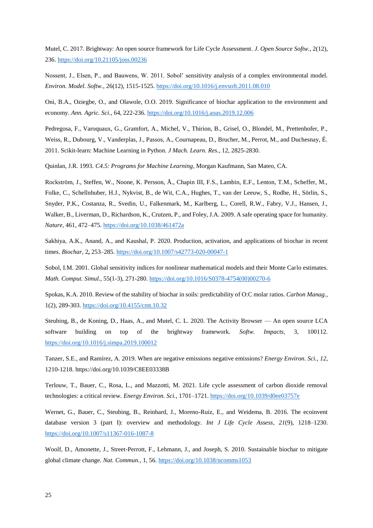Mutel, C. 2017. Brightway: An open source framework for Life Cycle Assessment. *J. Open Source Softw.*, 2(12), 236.<https://doi.org/10.21105/joss.00236>

Nossent, J., Elsen, P., and Bauwens, W. 2011. Sobol' sensitivity analysis of a complex environmental model. *Environ. Model. Softw.*, 26(12), 1515-1525[. https://doi.org/10.1016/j.envsoft.2011.08.010](https://doi.org/10.1016/j.envsoft.2011.08.010) 

Oni, B.A., Oziegbe, O., and Olawole, O.O. 2019. Significance of biochar application to the environment and economy. *Ann. Agric. Sci.*, 64, 222-236.<https://doi.org/10.1016/j.aoas.2019.12.006>

Pedregosa, F., Varoquaux, G., Gramfort, A., Michel, V., Thirion, B., Grisel, O., Blondel, M., Prettenhofer, P., Weiss, R., Dubourg, V., Vanderplas, J., Passos, A., Cournapeau, D., Brucher, M., Perrot, M., and Duchesnay, É. 2011. Scikit-learn: Machine Learning in Python. *J Mach. Learn. Res.*, 12, 2825-2830.

Quinlan, J.R. 1993. *C4.5: Programs for Machine Learning*, Morgan Kaufmann, San Mateo, CA.

Rockström, J., Steffen, W., Noone, K. Persson, Å., Chapin III, F.S., Lambin, E.F., Lenton, T.M., Scheffer, M., Folke, C., Schellnhuber, H.J., Nykvist, B., de Wit, C.A., Hughes, T., van der Leeuw, S., Rodhe, H., Sörlin, S., Snyder, P.K., Costanza, R., Svedin, U., Falkenmark, M., Karlberg, L., Corell, R.W., Fabry, V.J., Hansen, J., Walker, B., Liverman, D., Richardson, K., Crutzen, P., and Foley, J.A. 2009. A safe operating space for humanity. *Nature*, 461, 472–475.<https://doi.org/10.1038/461472a>

Sakhiya, A.K., Anand, A., and Kaushal, P. 2020. Production, activation, and applications of biochar in recent times. *Biochar*, 2**,** 253–285.<https://doi.org/10.1007/s42773-020-00047-1>

Sobol, I.M. 2001. Global sensitivity indices for nonlinear mathematical models and their Monte Carlo estimates. *Math. Comput. Simul.*, 55(1-3), 271-280[. https://doi.org/10.1016/S0378-4754\(00\)00270-6](https://doi.org/10.1016/S0378-4754(00)00270-6) 

Spokas, K.A. 2010. Review of the stability of biochar in soils: predictability of O:C molar ratios. *Carbon Manag.*, 1(2), 289-303.<https://doi.org/10.4155/cmt.10.32>

Steubing, B., de Koning, D., Haas, A., and Mutel, C. L. 2020. The Activity Browser — An open source LCA software building on top of the brightway framework. *Softw. Impacts*, 3, 100112. <https://doi.org/10.1016/j.simpa.2019.100012>

Tanzer, S.E., and Ramírez, A. 2019. When are negative emissions negative emissions? *Energy Environ. Sci.*, *12*, 1210-1218. https://doi.org/10.1039/C8EE03338B

Terlouw, T., Bauer, C., Rosa, L., and Mazzotti, M. 2021. Life cycle assessment of carbon dioxide removal technologies: a critical review. *Energy Environ. Sci.*, 1701–1721[. https://doi.org/10.1039/d0ee03757e](https://doi.org/10.1039/d0ee03757e)

Wernet, G., Bauer, C., Steubing, B., Reinhard, J., Moreno-Ruiz, E., and Weidema, B. 2016. The ecoinvent database version 3 (part I): overview and methodology. *Int J Life Cycle Assess, 21*(9), 1218–1230. <https://doi.org/10.1007/s11367-016-1087-8>

Woolf, D., Amonette, J., Street-Perrott, F., Lehmann, J., and Joseph, S. 2010. Sustainable biochar to mitigate global climate change. *Nat. Commun.*, 1, 56.<https://doi.org/10.1038/ncomms1053>